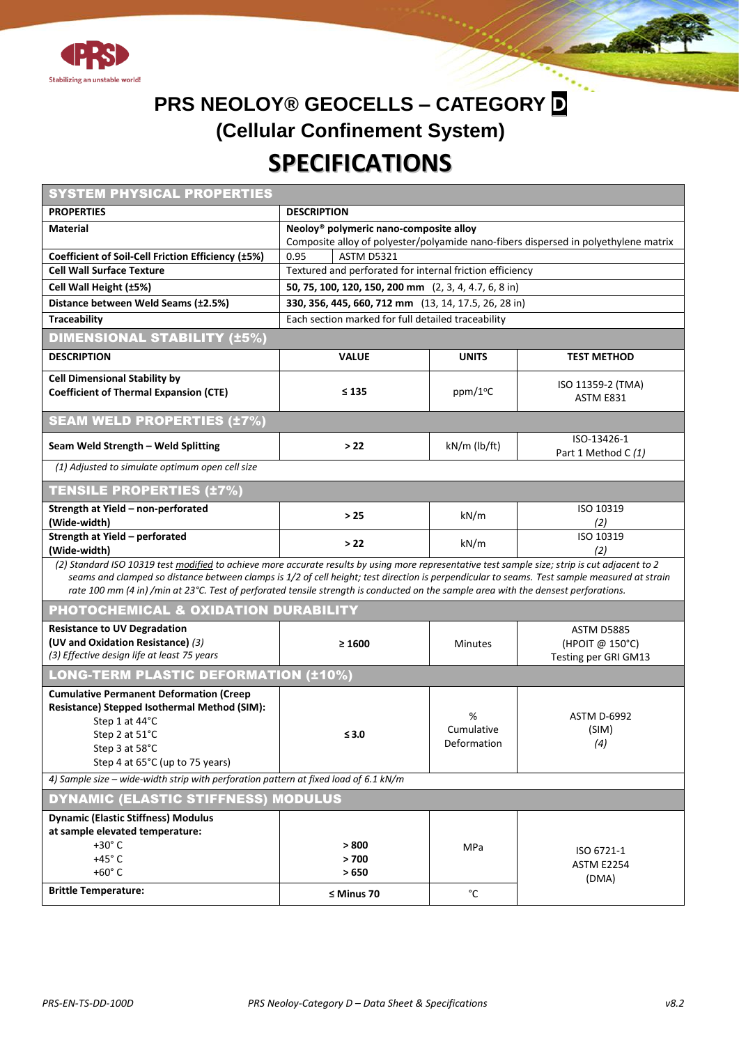

## **PRS NEOLOY® GEOCELLS – CATEGORY D (Cellular Confinement System) SPECIFICATIONS**

| <b>SYSTEM PHYSICAL PROPERTIES</b>                                                                                                                                                                                                                                                                                                                                                                                                      |                                                                                                                                           |                                |                                                              |  |  |  |  |  |  |  |  |
|----------------------------------------------------------------------------------------------------------------------------------------------------------------------------------------------------------------------------------------------------------------------------------------------------------------------------------------------------------------------------------------------------------------------------------------|-------------------------------------------------------------------------------------------------------------------------------------------|--------------------------------|--------------------------------------------------------------|--|--|--|--|--|--|--|--|
| <b>PROPERTIES</b>                                                                                                                                                                                                                                                                                                                                                                                                                      | <b>DESCRIPTION</b>                                                                                                                        |                                |                                                              |  |  |  |  |  |  |  |  |
| <b>Material</b>                                                                                                                                                                                                                                                                                                                                                                                                                        | Neoloy <sup>®</sup> polymeric nano-composite alloy<br>Composite alloy of polyester/polyamide nano-fibers dispersed in polyethylene matrix |                                |                                                              |  |  |  |  |  |  |  |  |
| Coefficient of Soil-Cell Friction Efficiency (±5%)                                                                                                                                                                                                                                                                                                                                                                                     | <b>ASTM D5321</b><br>0.95                                                                                                                 |                                |                                                              |  |  |  |  |  |  |  |  |
| <b>Cell Wall Surface Texture</b>                                                                                                                                                                                                                                                                                                                                                                                                       | Textured and perforated for internal friction efficiency                                                                                  |                                |                                                              |  |  |  |  |  |  |  |  |
| Cell Wall Height (±5%)                                                                                                                                                                                                                                                                                                                                                                                                                 | 50, 75, 100, 120, 150, 200 mm (2, 3, 4, 4.7, 6, 8 in)                                                                                     |                                |                                                              |  |  |  |  |  |  |  |  |
| Distance between Weld Seams (±2.5%)                                                                                                                                                                                                                                                                                                                                                                                                    | 330, 356, 445, 660, 712 mm (13, 14, 17.5, 26, 28 in)                                                                                      |                                |                                                              |  |  |  |  |  |  |  |  |
| <b>Traceability</b><br>Each section marked for full detailed traceability                                                                                                                                                                                                                                                                                                                                                              |                                                                                                                                           |                                |                                                              |  |  |  |  |  |  |  |  |
| <b>DIMENSIONAL STABILITY (±5%)</b>                                                                                                                                                                                                                                                                                                                                                                                                     |                                                                                                                                           |                                |                                                              |  |  |  |  |  |  |  |  |
| <b>DESCRIPTION</b>                                                                                                                                                                                                                                                                                                                                                                                                                     | <b>VALUE</b>                                                                                                                              | <b>UNITS</b>                   | <b>TEST METHOD</b>                                           |  |  |  |  |  |  |  |  |
| <b>Cell Dimensional Stability by</b><br><b>Coefficient of Thermal Expansion (CTE)</b>                                                                                                                                                                                                                                                                                                                                                  | ≤ 135                                                                                                                                     | ppm/1°C                        | ISO 11359-2 (TMA)<br>ASTM E831                               |  |  |  |  |  |  |  |  |
| <b>SEAM WELD PROPERTIES (±7%)</b>                                                                                                                                                                                                                                                                                                                                                                                                      |                                                                                                                                           |                                |                                                              |  |  |  |  |  |  |  |  |
| Seam Weld Strength - Weld Splitting                                                                                                                                                                                                                                                                                                                                                                                                    | > 22                                                                                                                                      | kN/m (lb/ft)                   | ISO-13426-1<br>Part 1 Method C (1)                           |  |  |  |  |  |  |  |  |
| (1) Adjusted to simulate optimum open cell size                                                                                                                                                                                                                                                                                                                                                                                        |                                                                                                                                           |                                |                                                              |  |  |  |  |  |  |  |  |
| <b>TENSILE PROPERTIES (±7%)</b>                                                                                                                                                                                                                                                                                                                                                                                                        |                                                                                                                                           |                                |                                                              |  |  |  |  |  |  |  |  |
| Strength at Yield - non-perforated<br>(Wide-width)                                                                                                                                                                                                                                                                                                                                                                                     | >25                                                                                                                                       | kN/m                           | ISO 10319<br>(2)                                             |  |  |  |  |  |  |  |  |
| Strength at Yield - perforated<br>(Wide-width)                                                                                                                                                                                                                                                                                                                                                                                         | $>22$                                                                                                                                     | kN/m                           | ISO 10319<br>(2)                                             |  |  |  |  |  |  |  |  |
| (2) Standard ISO 10319 test modified to achieve more accurate results by using more representative test sample size; strip is cut adjacent to 2<br>seams and clamped so distance between clamps is 1/2 of cell height; test direction is perpendicular to seams. Test sample measured at strain<br>rate 100 mm (4 in) /min at 23°C. Test of perforated tensile strength is conducted on the sample area with the densest perforations. |                                                                                                                                           |                                |                                                              |  |  |  |  |  |  |  |  |
| PHOTOCHEMICAL & OXIDATION DURABILITY                                                                                                                                                                                                                                                                                                                                                                                                   |                                                                                                                                           |                                |                                                              |  |  |  |  |  |  |  |  |
| <b>Resistance to UV Degradation</b><br>(UV and Oxidation Resistance) (3)<br>(3) Effective design life at least 75 years                                                                                                                                                                                                                                                                                                                | $\geq 1600$                                                                                                                               | <b>Minutes</b>                 | <b>ASTM D5885</b><br>(HPOIT @ 150°C)<br>Testing per GRI GM13 |  |  |  |  |  |  |  |  |
| <b>LONG-TERM PLASTIC DEFORMATION (±10%)</b>                                                                                                                                                                                                                                                                                                                                                                                            |                                                                                                                                           |                                |                                                              |  |  |  |  |  |  |  |  |
| <b>Cumulative Permanent Deformation (Creep</b><br>Resistance) Stepped Isothermal Method (SIM):<br>Step 1 at 44°C<br>Step 2 at 51°C<br>Step 3 at 58°C<br>Step 4 at 65°C (up to 75 years)                                                                                                                                                                                                                                                | ≤ $3.0$                                                                                                                                   | %<br>Cumulative<br>Deformation | <b>ASTM D-6992</b><br>(SIM)<br>(4)                           |  |  |  |  |  |  |  |  |
| 4) Sample size – wide-width strip with perforation pattern at fixed load of 6.1 kN/m                                                                                                                                                                                                                                                                                                                                                   |                                                                                                                                           |                                |                                                              |  |  |  |  |  |  |  |  |
| DYNAMIC (ELASTIC STIFFNESS) MODULUS                                                                                                                                                                                                                                                                                                                                                                                                    |                                                                                                                                           |                                |                                                              |  |  |  |  |  |  |  |  |
| <b>Dynamic (Elastic Stiffness) Modulus</b><br>at sample elevated temperature:<br>$+30^\circ$ C<br>$+45^\circ$ C<br>+60°C                                                                                                                                                                                                                                                                                                               | > 800<br>>700<br>>650                                                                                                                     | MPa                            | ISO 6721-1<br><b>ASTM E2254</b><br>(DMA)                     |  |  |  |  |  |  |  |  |
| <b>Brittle Temperature:</b>                                                                                                                                                                                                                                                                                                                                                                                                            | $\leq$ Minus 70                                                                                                                           | °C                             |                                                              |  |  |  |  |  |  |  |  |